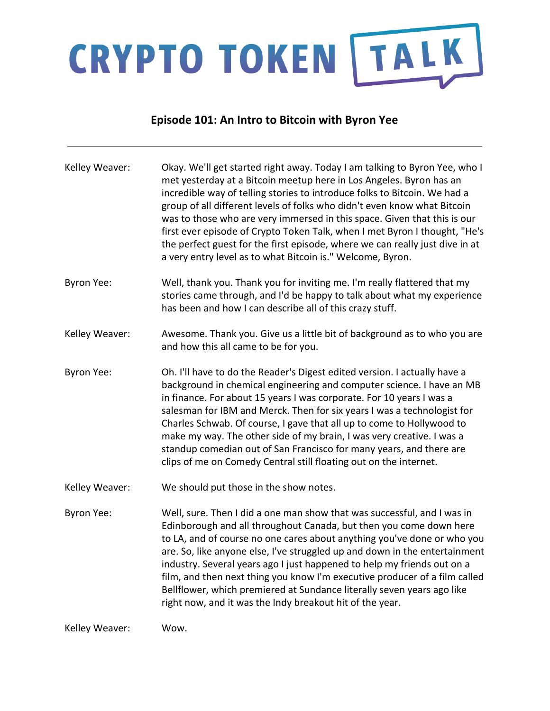# CRYPTO TOKEN TALK

### **Episode 101: An Intro to Bitcoin with Byron Yee**

| Kelley Weaver:    | Okay. We'll get started right away. Today I am talking to Byron Yee, who I<br>met yesterday at a Bitcoin meetup here in Los Angeles. Byron has an<br>incredible way of telling stories to introduce folks to Bitcoin. We had a<br>group of all different levels of folks who didn't even know what Bitcoin<br>was to those who are very immersed in this space. Given that this is our<br>first ever episode of Crypto Token Talk, when I met Byron I thought, "He's<br>the perfect guest for the first episode, where we can really just dive in at<br>a very entry level as to what Bitcoin is." Welcome, Byron. |
|-------------------|--------------------------------------------------------------------------------------------------------------------------------------------------------------------------------------------------------------------------------------------------------------------------------------------------------------------------------------------------------------------------------------------------------------------------------------------------------------------------------------------------------------------------------------------------------------------------------------------------------------------|
| <b>Byron Yee:</b> | Well, thank you. Thank you for inviting me. I'm really flattered that my<br>stories came through, and I'd be happy to talk about what my experience<br>has been and how I can describe all of this crazy stuff.                                                                                                                                                                                                                                                                                                                                                                                                    |
| Kelley Weaver:    | Awesome. Thank you. Give us a little bit of background as to who you are<br>and how this all came to be for you.                                                                                                                                                                                                                                                                                                                                                                                                                                                                                                   |
| <b>Byron Yee:</b> | Oh. I'll have to do the Reader's Digest edited version. I actually have a<br>background in chemical engineering and computer science. I have an MB<br>in finance. For about 15 years I was corporate. For 10 years I was a<br>salesman for IBM and Merck. Then for six years I was a technologist for<br>Charles Schwab. Of course, I gave that all up to come to Hollywood to<br>make my way. The other side of my brain, I was very creative. I was a<br>standup comedian out of San Francisco for many years, and there are<br>clips of me on Comedy Central still floating out on the internet.                |
| Kelley Weaver:    | We should put those in the show notes.                                                                                                                                                                                                                                                                                                                                                                                                                                                                                                                                                                             |
| <b>Byron Yee:</b> | Well, sure. Then I did a one man show that was successful, and I was in<br>Edinborough and all throughout Canada, but then you come down here<br>to LA, and of course no one cares about anything you've done or who you<br>are. So, like anyone else, I've struggled up and down in the entertainment<br>industry. Several years ago I just happened to help my friends out on a<br>film, and then next thing you know I'm executive producer of a film called<br>Bellflower, which premiered at Sundance literally seven years ago like<br>right now, and it was the Indy breakout hit of the year.              |
| Kelley Weaver:    | Wow.                                                                                                                                                                                                                                                                                                                                                                                                                                                                                                                                                                                                               |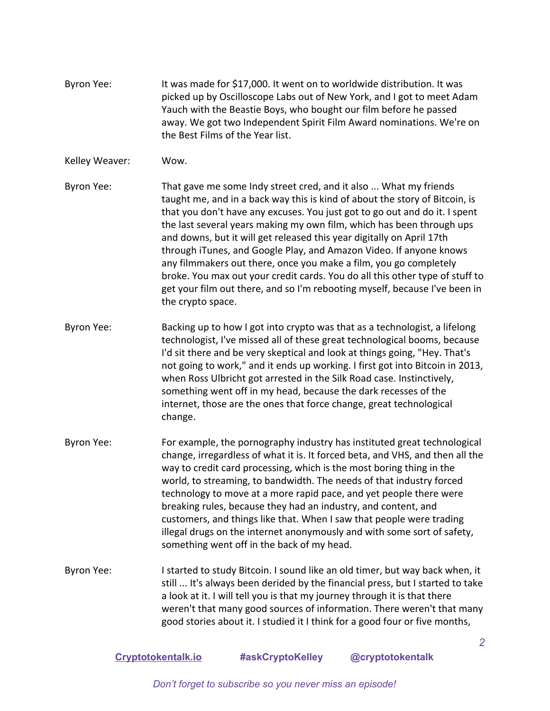Byron Yee: It was made for \$17,000. It went on to worldwide distribution. It was picked up by Oscilloscope Labs out of New York, and I got to meet Adam Yauch with the Beastie Boys, who bought our film before he passed away. We got two Independent Spirit Film Award nominations. We're on the Best Films of the Year list.

#### Kelley Weaver: Wow.

- Byron Yee: That gave me some Indy street cred, and it also ... What my friends taught me, and in a back way this is kind of about the story of Bitcoin, is that you don't have any excuses. You just got to go out and do it. I spent the last several years making my own film, which has been through ups and downs, but it will get released this year digitally on April 17th through iTunes, and Google Play, and Amazon Video. If anyone knows any filmmakers out there, once you make a film, you go completely broke. You max out your credit cards. You do all this other type of stuff to get your film out there, and so I'm rebooting myself, because I've been in the crypto space.
- Byron Yee: Backing up to how I got into crypto was that as a technologist, a lifelong technologist, I've missed all of these great technological booms, because I'd sit there and be very skeptical and look at things going, "Hey. That's not going to work," and it ends up working. I first got into Bitcoin in 2013, when Ross Ulbricht got arrested in the Silk Road case. Instinctively, something went off in my head, because the dark recesses of the internet, those are the ones that force change, great technological change.
- Byron Yee: For example, the pornography industry has instituted great technological change, irregardless of what it is. It forced beta, and VHS, and then all the way to credit card processing, which is the most boring thing in the world, to streaming, to bandwidth. The needs of that industry forced technology to move at a more rapid pace, and yet people there were breaking rules, because they had an industry, and content, and customers, and things like that. When I saw that people were trading illegal drugs on the internet anonymously and with some sort of safety, something went off in the back of my head.
- Byron Yee: I started to study Bitcoin. I sound like an old timer, but way back when, it still ... It's always been derided by the financial press, but I started to take a look at it. I will tell you is that my journey through it is that there weren't that many good sources of information. There weren't that many good stories about it. I studied it I think for a good four or five months,

#### **[Cryptotokentalk.io](https://cryptotokentalk.io/) #askCryptoKelley @cryptotokentalk**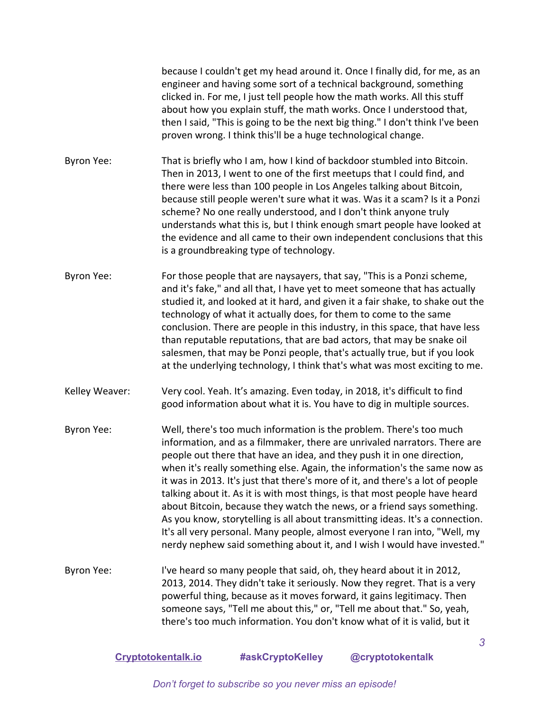because I couldn't get my head around it. Once I finally did, for me, as an engineer and having some sort of a technical background, something clicked in. For me, I just tell people how the math works. All this stuff about how you explain stuff, the math works. Once I understood that, then I said, "This is going to be the next big thing." I don't think I've been proven wrong. I think this'll be a huge technological change.

- Byron Yee: That is briefly who I am, how I kind of backdoor stumbled into Bitcoin. Then in 2013, I went to one of the first meetups that I could find, and there were less than 100 people in Los Angeles talking about Bitcoin, because still people weren't sure what it was. Was it a scam? Is it a Ponzi scheme? No one really understood, and I don't think anyone truly understands what this is, but I think enough smart people have looked at the evidence and all came to their own independent conclusions that this is a groundbreaking type of technology.
- Byron Yee: For those people that are naysayers, that say, "This is a Ponzi scheme, and it's fake," and all that, I have yet to meet someone that has actually studied it, and looked at it hard, and given it a fair shake, to shake out the technology of what it actually does, for them to come to the same conclusion. There are people in this industry, in this space, that have less than reputable reputations, that are bad actors, that may be snake oil salesmen, that may be Ponzi people, that's actually true, but if you look at the underlying technology, I think that's what was most exciting to me.
- Kelley Weaver: Very cool. Yeah. It's amazing. Even today, in 2018, it's difficult to find good information about what it is. You have to dig in multiple sources.
- Byron Yee: Well, there's too much information is the problem. There's too much information, and as a filmmaker, there are unrivaled narrators. There are people out there that have an idea, and they push it in one direction, when it's really something else. Again, the information's the same now as it was in 2013. It's just that there's more of it, and there's a lot of people talking about it. As it is with most things, is that most people have heard about Bitcoin, because they watch the news, or a friend says something. As you know, storytelling is all about transmitting ideas. It's a connection. It's all very personal. Many people, almost everyone I ran into, "Well, my nerdy nephew said something about it, and I wish I would have invested."
- Byron Yee: I've heard so many people that said, oh, they heard about it in 2012, 2013, 2014. They didn't take it seriously. Now they regret. That is a very powerful thing, because as it moves forward, it gains legitimacy. Then someone says, "Tell me about this," or, "Tell me about that." So, yeah, there's too much information. You don't know what of it is valid, but it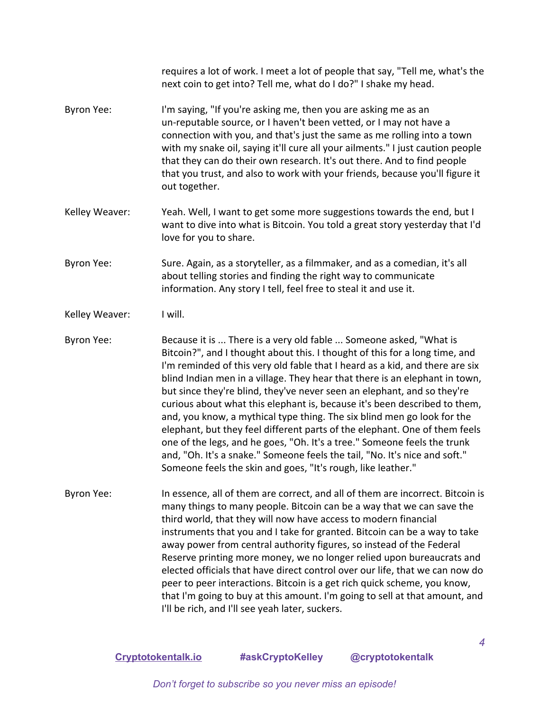|                   | requires a lot of work. I meet a lot of people that say, "Tell me, what's the<br>next coin to get into? Tell me, what do I do?" I shake my head.                                                                                                                                                                                                                                                                                                                                                                                                                                                                                                                                                                                                                                                                                                           |
|-------------------|------------------------------------------------------------------------------------------------------------------------------------------------------------------------------------------------------------------------------------------------------------------------------------------------------------------------------------------------------------------------------------------------------------------------------------------------------------------------------------------------------------------------------------------------------------------------------------------------------------------------------------------------------------------------------------------------------------------------------------------------------------------------------------------------------------------------------------------------------------|
| <b>Byron Yee:</b> | I'm saying, "If you're asking me, then you are asking me as an<br>un-reputable source, or I haven't been vetted, or I may not have a<br>connection with you, and that's just the same as me rolling into a town<br>with my snake oil, saying it'll cure all your ailments." I just caution people<br>that they can do their own research. It's out there. And to find people<br>that you trust, and also to work with your friends, because you'll figure it<br>out together.                                                                                                                                                                                                                                                                                                                                                                              |
| Kelley Weaver:    | Yeah. Well, I want to get some more suggestions towards the end, but I<br>want to dive into what is Bitcoin. You told a great story yesterday that I'd<br>love for you to share.                                                                                                                                                                                                                                                                                                                                                                                                                                                                                                                                                                                                                                                                           |
| <b>Byron Yee:</b> | Sure. Again, as a storyteller, as a filmmaker, and as a comedian, it's all<br>about telling stories and finding the right way to communicate<br>information. Any story I tell, feel free to steal it and use it.                                                                                                                                                                                                                                                                                                                                                                                                                                                                                                                                                                                                                                           |
| Kelley Weaver:    | I will.                                                                                                                                                                                                                                                                                                                                                                                                                                                                                                                                                                                                                                                                                                                                                                                                                                                    |
| <b>Byron Yee:</b> | Because it is  There is a very old fable  Someone asked, "What is<br>Bitcoin?", and I thought about this. I thought of this for a long time, and<br>I'm reminded of this very old fable that I heard as a kid, and there are six<br>blind Indian men in a village. They hear that there is an elephant in town,<br>but since they're blind, they've never seen an elephant, and so they're<br>curious about what this elephant is, because it's been described to them,<br>and, you know, a mythical type thing. The six blind men go look for the<br>elephant, but they feel different parts of the elephant. One of them feels<br>one of the legs, and he goes, "Oh. It's a tree." Someone feels the trunk<br>and, "Oh. It's a snake." Someone feels the tail, "No. It's nice and soft."<br>Someone feels the skin and goes, "It's rough, like leather." |
| Byron Yee:        | In essence, all of them are correct, and all of them are incorrect. Bitcoin is<br>many things to many people. Bitcoin can be a way that we can save the<br>third world, that they will now have access to modern financial<br>instruments that you and I take for granted. Bitcoin can be a way to take<br>away power from central authority figures, so instead of the Federal<br>Reserve printing more money, we no longer relied upon bureaucrats and<br>elected officials that have direct control over our life, that we can now do<br>peer to peer interactions. Bitcoin is a get rich quick scheme, you know,<br>that I'm going to buy at this amount. I'm going to sell at that amount, and<br>I'll be rich, and I'll see yeah later, suckers.                                                                                                     |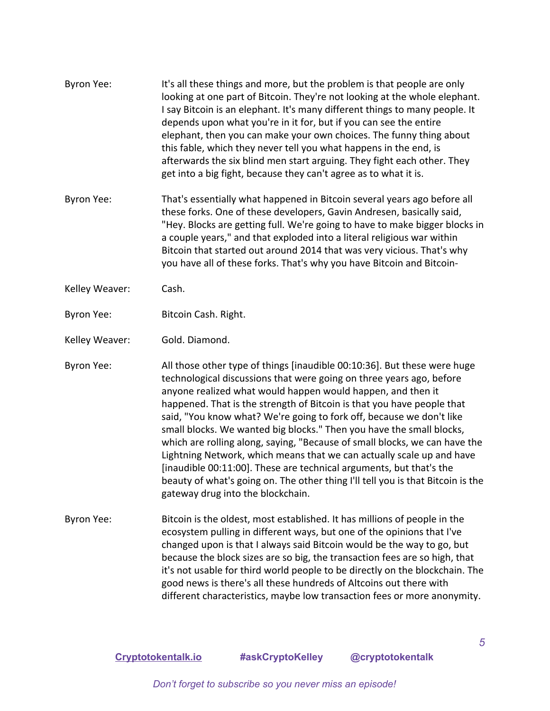| Byron Yee:        | It's all these things and more, but the problem is that people are only<br>looking at one part of Bitcoin. They're not looking at the whole elephant.<br>I say Bitcoin is an elephant. It's many different things to many people. It<br>depends upon what you're in it for, but if you can see the entire<br>elephant, then you can make your own choices. The funny thing about<br>this fable, which they never tell you what happens in the end, is<br>afterwards the six blind men start arguing. They fight each other. They<br>get into a big fight, because they can't agree as to what it is.                                                                                                                                                                                            |
|-------------------|-------------------------------------------------------------------------------------------------------------------------------------------------------------------------------------------------------------------------------------------------------------------------------------------------------------------------------------------------------------------------------------------------------------------------------------------------------------------------------------------------------------------------------------------------------------------------------------------------------------------------------------------------------------------------------------------------------------------------------------------------------------------------------------------------|
| <b>Byron Yee:</b> | That's essentially what happened in Bitcoin several years ago before all<br>these forks. One of these developers, Gavin Andresen, basically said,<br>"Hey. Blocks are getting full. We're going to have to make bigger blocks in<br>a couple years," and that exploded into a literal religious war within<br>Bitcoin that started out around 2014 that was very vicious. That's why<br>you have all of these forks. That's why you have Bitcoin and Bitcoin-                                                                                                                                                                                                                                                                                                                                   |
| Kelley Weaver:    | Cash.                                                                                                                                                                                                                                                                                                                                                                                                                                                                                                                                                                                                                                                                                                                                                                                           |
| Byron Yee:        | Bitcoin Cash. Right.                                                                                                                                                                                                                                                                                                                                                                                                                                                                                                                                                                                                                                                                                                                                                                            |
| Kelley Weaver:    | Gold. Diamond.                                                                                                                                                                                                                                                                                                                                                                                                                                                                                                                                                                                                                                                                                                                                                                                  |
| Byron Yee:        | All those other type of things [inaudible 00:10:36]. But these were huge<br>technological discussions that were going on three years ago, before<br>anyone realized what would happen would happen, and then it<br>happened. That is the strength of Bitcoin is that you have people that<br>said, "You know what? We're going to fork off, because we don't like<br>small blocks. We wanted big blocks." Then you have the small blocks,<br>which are rolling along, saying, "Because of small blocks, we can have the<br>Lightning Network, which means that we can actually scale up and have<br>[inaudible 00:11:00]. These are technical arguments, but that's the<br>beauty of what's going on. The other thing I'll tell you is that Bitcoin is the<br>gateway drug into the blockchain. |
| Byron Yee:        | Bitcoin is the oldest, most established. It has millions of people in the<br>ecosystem pulling in different ways, but one of the opinions that I've<br>changed upon is that I always said Bitcoin would be the way to go, but<br>because the block sizes are so big, the transaction fees are so high, that<br>it's not usable for third world people to be directly on the blockchain. The<br>good news is there's all these hundreds of Altcoins out there with<br>different characteristics, maybe low transaction fees or more anonymity.                                                                                                                                                                                                                                                   |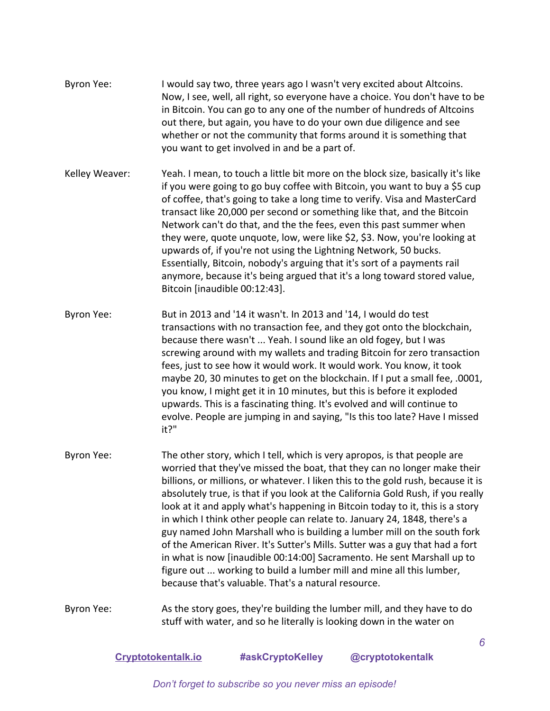- Byron Yee: I would say two, three years ago I wasn't very excited about Altcoins. Now, I see, well, all right, so everyone have a choice. You don't have to be in Bitcoin. You can go to any one of the number of hundreds of Altcoins out there, but again, you have to do your own due diligence and see whether or not the community that forms around it is something that you want to get involved in and be a part of.
- Kelley Weaver: Yeah. I mean, to touch a little bit more on the block size, basically it's like if you were going to go buy coffee with Bitcoin, you want to buy a \$5 cup of coffee, that's going to take a long time to verify. Visa and MasterCard transact like 20,000 per second or something like that, and the Bitcoin Network can't do that, and the the fees, even this past summer when they were, quote unquote, low, were like \$2, \$3. Now, you're looking at upwards of, if you're not using the Lightning Network, 50 bucks. Essentially, Bitcoin, nobody's arguing that it's sort of a payments rail anymore, because it's being argued that it's a long toward stored value, Bitcoin [inaudible 00:12:43].
- Byron Yee: But in 2013 and '14 it wasn't. In 2013 and '14, I would do test transactions with no transaction fee, and they got onto the blockchain, because there wasn't ... Yeah. I sound like an old fogey, but I was screwing around with my wallets and trading Bitcoin for zero transaction fees, just to see how it would work. It would work. You know, it took maybe 20, 30 minutes to get on the blockchain. If I put a small fee, .0001, you know, I might get it in 10 minutes, but this is before it exploded upwards. This is a fascinating thing. It's evolved and will continue to evolve. People are jumping in and saying, "Is this too late? Have I missed it?"
- Byron Yee: The other story, which I tell, which is very apropos, is that people are worried that they've missed the boat, that they can no longer make their billions, or millions, or whatever. I liken this to the gold rush, because it is absolutely true, is that if you look at the California Gold Rush, if you really look at it and apply what's happening in Bitcoin today to it, this is a story in which I think other people can relate to. January 24, 1848, there's a guy named John Marshall who is building a lumber mill on the south fork of the American River. It's Sutter's Mills. Sutter was a guy that had a fort in what is now [inaudible 00:14:00] Sacramento. He sent Marshall up to figure out ... working to build a lumber mill and mine all this lumber, because that's valuable. That's a natural resource.
- Byron Yee: As the story goes, they're building the lumber mill, and they have to do stuff with water, and so he literally is looking down in the water on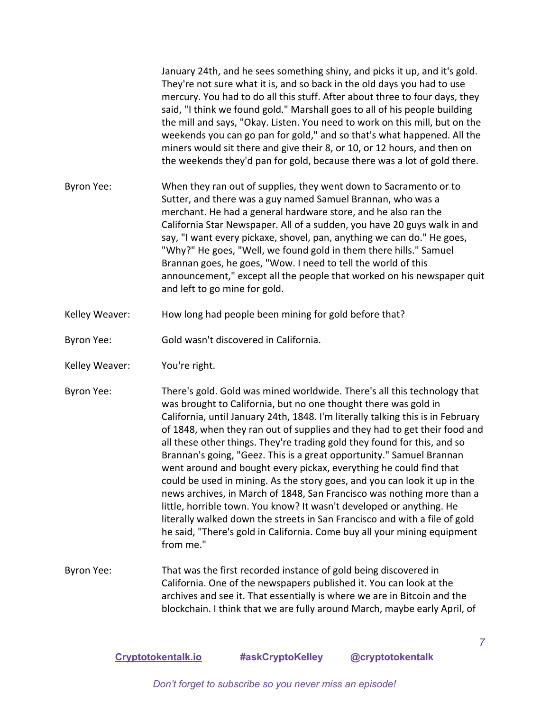January 24th, and he sees something shiny, and picks it up, and it's gold. They're not sure what it is, and so back in the old days you had to use mercury. You had to do all this stuff. After about three to four days, they said, "I think we found gold." Marshall goes to all of his people building the mill and says, "Okay. Listen. You need to work on this mill, but on the weekends you can go pan for gold," and so that's what happened. All the miners would sit there and give their 8, or 10, or 12 hours, and then on the weekends they'd pan for gold, because there was a lot of gold there. Byron Yee: When they ran out of supplies, they went down to Sacramento or to Sutter, and there was a guy named Samuel Brannan, who was a merchant. He had a general hardware store, and he also ran the California Star Newspaper. All of a sudden, you have 20 guys walk in and say, "I want every pickaxe, shovel, pan, anything we can do." He goes, "Why?" He goes, "Well, we found gold in them there hills." Samuel Brannan goes, he goes, "Wow. I need to tell the world of this

announcement," except all the people that worked on his newspaper quit

Kelley Weaver: How long had people been mining for gold before that?

and left to go mine for gold.

Byron Yee: Gold wasn't discovered in California.

- Kelley Weaver: You're right.
- Byron Yee: There's gold. Gold was mined worldwide. There's all this technology that was brought to California, but no one thought there was gold in California, until January 24th, 1848. I'm literally talking this is in February of 1848, when they ran out of supplies and they had to get their food and all these other things. They're trading gold they found for this, and so Brannan's going, "Geez. This is a great opportunity." Samuel Brannan went around and bought every pickax, everything he could find that could be used in mining. As the story goes, and you can look it up in the news archives, in March of 1848, San Francisco was nothing more than a little, horrible town. You know? It wasn't developed or anything. He literally walked down the streets in San Francisco and with a file of gold he said, "There's gold in California. Come buy all your mining equipment from me."
- Byron Yee: That was the first recorded instance of gold being discovered in California. One of the newspapers published it. You can look at the archives and see it. That essentially is where we are in Bitcoin and the blockchain. I think that we are fully around March, maybe early April, of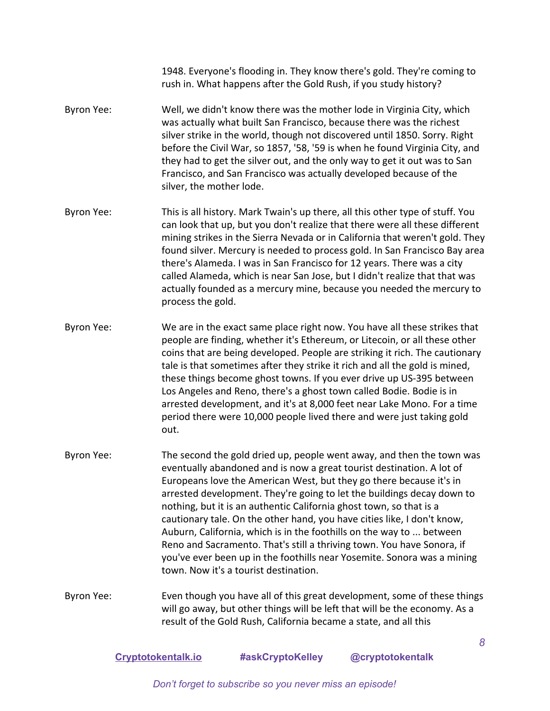1948. Everyone's flooding in. They know there's gold. They're coming to rush in. What happens after the Gold Rush, if you study history?

- Byron Yee: Well, we didn't know there was the mother lode in Virginia City, which was actually what built San Francisco, because there was the richest silver strike in the world, though not discovered until 1850. Sorry. Right before the Civil War, so 1857, '58, '59 is when he found Virginia City, and they had to get the silver out, and the only way to get it out was to San Francisco, and San Francisco was actually developed because of the silver, the mother lode.
- Byron Yee: This is all history. Mark Twain's up there, all this other type of stuff. You can look that up, but you don't realize that there were all these different mining strikes in the Sierra Nevada or in California that weren't gold. They found silver. Mercury is needed to process gold. In San Francisco Bay area there's Alameda. I was in San Francisco for 12 years. There was a city called Alameda, which is near San Jose, but I didn't realize that that was actually founded as a mercury mine, because you needed the mercury to process the gold.
- Byron Yee: We are in the exact same place right now. You have all these strikes that people are finding, whether it's Ethereum, or Litecoin, or all these other coins that are being developed. People are striking it rich. The cautionary tale is that sometimes after they strike it rich and all the gold is mined, these things become ghost towns. If you ever drive up US-395 between Los Angeles and Reno, there's a ghost town called Bodie. Bodie is in arrested development, and it's at 8,000 feet near Lake Mono. For a time period there were 10,000 people lived there and were just taking gold out.
- Byron Yee: The second the gold dried up, people went away, and then the town was eventually abandoned and is now a great tourist destination. A lot of Europeans love the American West, but they go there because it's in arrested development. They're going to let the buildings decay down to nothing, but it is an authentic California ghost town, so that is a cautionary tale. On the other hand, you have cities like, I don't know, Auburn, California, which is in the foothills on the way to ... between Reno and Sacramento. That's still a thriving town. You have Sonora, if you've ever been up in the foothills near Yosemite. Sonora was a mining town. Now it's a tourist destination.
- Byron Yee: Even though you have all of this great development, some of these things will go away, but other things will be left that will be the economy. As a result of the Gold Rush, California became a state, and all this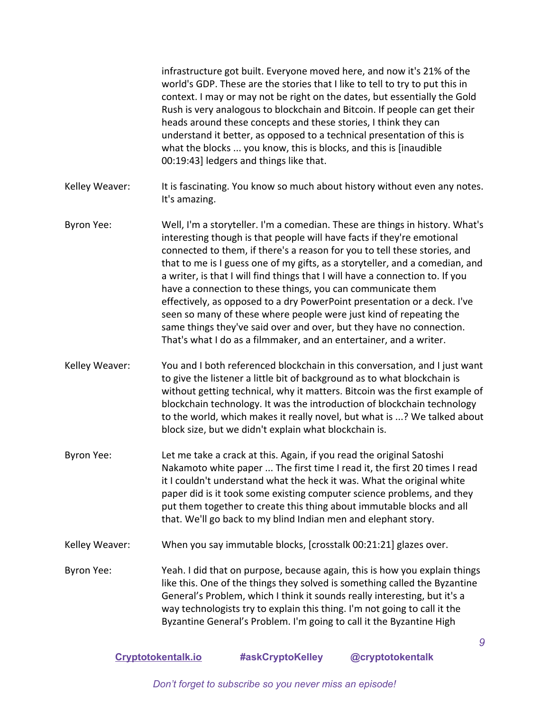|                   | infrastructure got built. Everyone moved here, and now it's 21% of the<br>world's GDP. These are the stories that I like to tell to try to put this in<br>context. I may or may not be right on the dates, but essentially the Gold<br>Rush is very analogous to blockchain and Bitcoin. If people can get their<br>heads around these concepts and these stories, I think they can<br>understand it better, as opposed to a technical presentation of this is<br>what the blocks  you know, this is blocks, and this is [inaudible<br>00:19:43] ledgers and things like that.                                                                                                                                                                                      |
|-------------------|---------------------------------------------------------------------------------------------------------------------------------------------------------------------------------------------------------------------------------------------------------------------------------------------------------------------------------------------------------------------------------------------------------------------------------------------------------------------------------------------------------------------------------------------------------------------------------------------------------------------------------------------------------------------------------------------------------------------------------------------------------------------|
| Kelley Weaver:    | It is fascinating. You know so much about history without even any notes.<br>It's amazing.                                                                                                                                                                                                                                                                                                                                                                                                                                                                                                                                                                                                                                                                          |
| Byron Yee:        | Well, I'm a storyteller. I'm a comedian. These are things in history. What's<br>interesting though is that people will have facts if they're emotional<br>connected to them, if there's a reason for you to tell these stories, and<br>that to me is I guess one of my gifts, as a storyteller, and a comedian, and<br>a writer, is that I will find things that I will have a connection to. If you<br>have a connection to these things, you can communicate them<br>effectively, as opposed to a dry PowerPoint presentation or a deck. I've<br>seen so many of these where people were just kind of repeating the<br>same things they've said over and over, but they have no connection.<br>That's what I do as a filmmaker, and an entertainer, and a writer. |
| Kelley Weaver:    | You and I both referenced blockchain in this conversation, and I just want<br>to give the listener a little bit of background as to what blockchain is<br>without getting technical, why it matters. Bitcoin was the first example of<br>blockchain technology. It was the introduction of blockchain technology<br>to the world, which makes it really novel, but what is ? We talked about<br>block size, but we didn't explain what blockchain is.                                                                                                                                                                                                                                                                                                               |
| <b>Byron Yee:</b> | Let me take a crack at this. Again, if you read the original Satoshi<br>Nakamoto white paper  The first time I read it, the first 20 times I read<br>it I couldn't understand what the heck it was. What the original white<br>paper did is it took some existing computer science problems, and they<br>put them together to create this thing about immutable blocks and all<br>that. We'll go back to my blind Indian men and elephant story.                                                                                                                                                                                                                                                                                                                    |
| Kelley Weaver:    | When you say immutable blocks, [crosstalk 00:21:21] glazes over.                                                                                                                                                                                                                                                                                                                                                                                                                                                                                                                                                                                                                                                                                                    |
| Byron Yee:        | Yeah. I did that on purpose, because again, this is how you explain things<br>like this. One of the things they solved is something called the Byzantine<br>General's Problem, which I think it sounds really interesting, but it's a<br>way technologists try to explain this thing. I'm not going to call it the<br>Byzantine General's Problem. I'm going to call it the Byzantine High                                                                                                                                                                                                                                                                                                                                                                          |
|                   | 9                                                                                                                                                                                                                                                                                                                                                                                                                                                                                                                                                                                                                                                                                                                                                                   |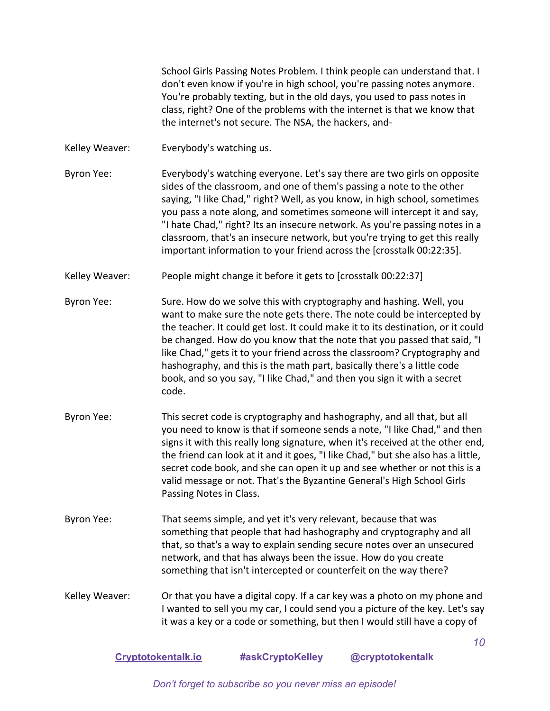School Girls Passing Notes Problem. I think people can understand that. I don't even know if you're in high school, you're passing notes anymore. You're probably texting, but in the old days, you used to pass notes in class, right? One of the problems with the internet is that we know that the internet's not secure. The NSA, the hackers, and-

- Kelley Weaver: Everybody's watching us.
- Byron Yee: Everybody's watching everyone. Let's say there are two girls on opposite sides of the classroom, and one of them's passing a note to the other saying, "I like Chad," right? Well, as you know, in high school, sometimes you pass a note along, and sometimes someone will intercept it and say, "I hate Chad," right? Its an insecure network. As you're passing notes in a classroom, that's an insecure network, but you're trying to get this really important information to your friend across the [crosstalk 00:22:35].
- Kelley Weaver: People might change it before it gets to [crosstalk 00:22:37]
- Byron Yee: Sure. How do we solve this with cryptography and hashing. Well, you want to make sure the note gets there. The note could be intercepted by the teacher. It could get lost. It could make it to its destination, or it could be changed. How do you know that the note that you passed that said, "I like Chad," gets it to your friend across the classroom? Cryptography and hashography, and this is the math part, basically there's a little code book, and so you say, "I like Chad," and then you sign it with a secret code.
- Byron Yee: This secret code is cryptography and hashography, and all that, but all you need to know is that if someone sends a note, "I like Chad," and then signs it with this really long signature, when it's received at the other end, the friend can look at it and it goes, "I like Chad," but she also has a little, secret code book, and she can open it up and see whether or not this is a valid message or not. That's the Byzantine General's High School Girls Passing Notes in Class.
- Byron Yee: That seems simple, and yet it's very relevant, because that was something that people that had hashography and cryptography and all that, so that's a way to explain sending secure notes over an unsecured network, and that has always been the issue. How do you create something that isn't intercepted or counterfeit on the way there?
- Kelley Weaver: Or that you have a digital copy. If a car key was a photo on my phone and I wanted to sell you my car, I could send you a picture of the key. Let's say it was a key or a code or something, but then I would still have a copy of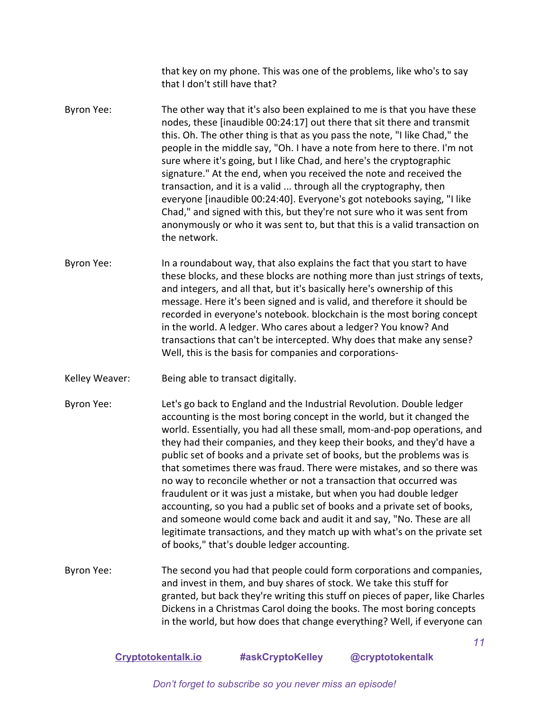that key on my phone. This was one of the problems, like who's to say that I don't still have that?

- Byron Yee: The other way that it's also been explained to me is that you have these nodes, these [inaudible 00:24:17] out there that sit there and transmit this. Oh. The other thing is that as you pass the note, "I like Chad," the people in the middle say, "Oh. I have a note from here to there. I'm not sure where it's going, but I like Chad, and here's the cryptographic signature." At the end, when you received the note and received the transaction, and it is a valid ... through all the cryptography, then everyone [inaudible 00:24:40]. Everyone's got notebooks saying, "I like Chad," and signed with this, but they're not sure who it was sent from anonymously or who it was sent to, but that this is a valid transaction on the network.
- Byron Yee: In a roundabout way, that also explains the fact that you start to have these blocks, and these blocks are nothing more than just strings of texts, and integers, and all that, but it's basically here's ownership of this message. Here it's been signed and is valid, and therefore it should be recorded in everyone's notebook. blockchain is the most boring concept in the world. A ledger. Who cares about a ledger? You know? And transactions that can't be intercepted. Why does that make any sense? Well, this is the basis for companies and corporations-
- Kelley Weaver: Being able to transact digitally.
- Byron Yee: Let's go back to England and the Industrial Revolution. Double ledger accounting is the most boring concept in the world, but it changed the world. Essentially, you had all these small, mom-and-pop operations, and they had their companies, and they keep their books, and they'd have a public set of books and a private set of books, but the problems was is that sometimes there was fraud. There were mistakes, and so there was no way to reconcile whether or not a transaction that occurred was fraudulent or it was just a mistake, but when you had double ledger accounting, so you had a public set of books and a private set of books, and someone would come back and audit it and say, "No. These are all legitimate transactions, and they match up with what's on the private set of books," that's double ledger accounting.
- Byron Yee: The second you had that people could form corporations and companies, and invest in them, and buy shares of stock. We take this stuff for granted, but back they're writing this stuff on pieces of paper, like Charles Dickens in a Christmas Carol doing the books. The most boring concepts in the world, but how does that change everything? Well, if everyone can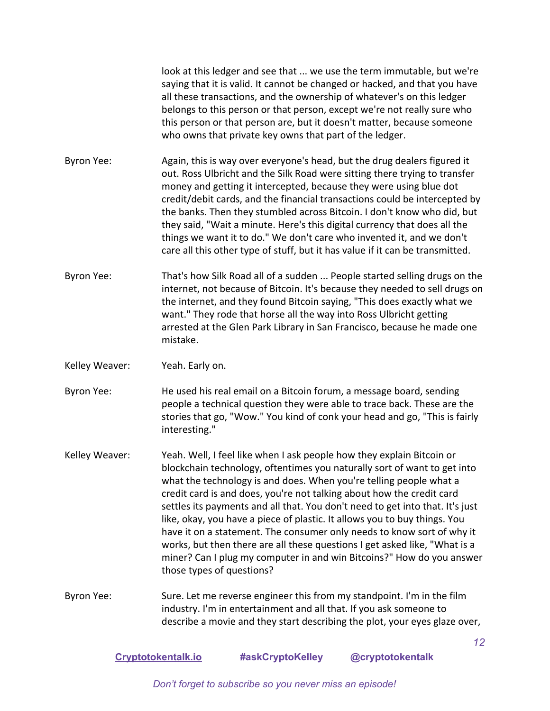look at this ledger and see that ... we use the term immutable, but we're saying that it is valid. It cannot be changed or hacked, and that you have all these transactions, and the ownership of whatever's on this ledger belongs to this person or that person, except we're not really sure who this person or that person are, but it doesn't matter, because someone who owns that private key owns that part of the ledger.

Byron Yee: Again, this is way over everyone's head, but the drug dealers figured it out. Ross Ulbricht and the Silk Road were sitting there trying to transfer money and getting it intercepted, because they were using blue dot credit/debit cards, and the financial transactions could be intercepted by the banks. Then they stumbled across Bitcoin. I don't know who did, but they said, "Wait a minute. Here's this digital currency that does all the things we want it to do." We don't care who invented it, and we don't care all this other type of stuff, but it has value if it can be transmitted.

Byron Yee: That's how Silk Road all of a sudden ... People started selling drugs on the internet, not because of Bitcoin. It's because they needed to sell drugs on the internet, and they found Bitcoin saying, "This does exactly what we want." They rode that horse all the way into Ross Ulbricht getting arrested at the Glen Park Library in San Francisco, because he made one mistake.

Kelley Weaver: Yeah. Early on.

Byron Yee: He used his real email on a Bitcoin forum, a message board, sending people a technical question they were able to trace back. These are the stories that go, "Wow." You kind of conk your head and go, "This is fairly interesting."

Kelley Weaver: Yeah. Well, I feel like when I ask people how they explain Bitcoin or blockchain technology, oftentimes you naturally sort of want to get into what the technology is and does. When you're telling people what a credit card is and does, you're not talking about how the credit card settles its payments and all that. You don't need to get into that. It's just like, okay, you have a piece of plastic. It allows you to buy things. You have it on a statement. The consumer only needs to know sort of why it works, but then there are all these questions I get asked like, "What is a miner? Can I plug my computer in and win Bitcoins?" How do you answer those types of questions?

Byron Yee: Sure. Let me reverse engineer this from my standpoint. I'm in the film industry. I'm in entertainment and all that. If you ask someone to describe a movie and they start describing the plot, your eyes glaze over,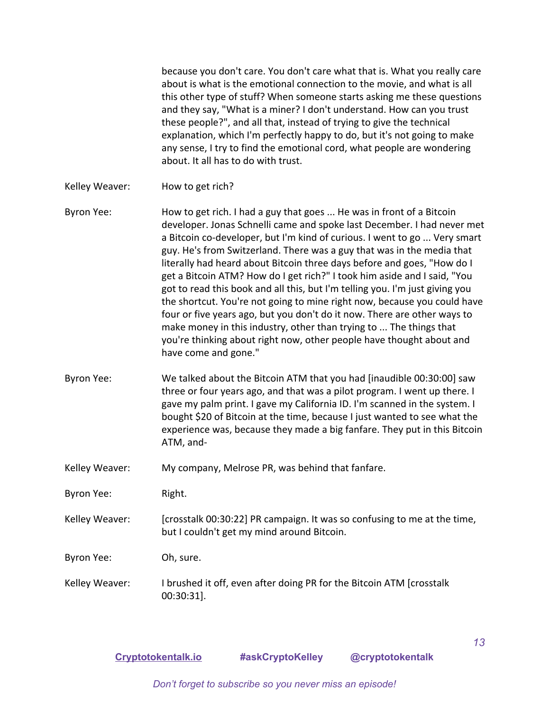because you don't care. You don't care what that is. What you really care about is what is the emotional connection to the movie, and what is all this other type of stuff? When someone starts asking me these questions and they say, "What is a miner? I don't understand. How can you trust these people?", and all that, instead of trying to give the technical explanation, which I'm perfectly happy to do, but it's not going to make any sense, I try to find the emotional cord, what people are wondering about. It all has to do with trust.

Kelley Weaver: How to get rich?

Byron Yee: How to get rich. I had a guy that goes ... He was in front of a Bitcoin developer. Jonas Schnelli came and spoke last December. I had never met a Bitcoin co-developer, but I'm kind of curious. I went to go ... Very smart guy. He's from Switzerland. There was a guy that was in the media that literally had heard about Bitcoin three days before and goes, "How do I get a Bitcoin ATM? How do I get rich?" I took him aside and I said, "You got to read this book and all this, but I'm telling you. I'm just giving you the shortcut. You're not going to mine right now, because you could have four or five years ago, but you don't do it now. There are other ways to make money in this industry, other than trying to ... The things that you're thinking about right now, other people have thought about and have come and gone."

- Byron Yee: We talked about the Bitcoin ATM that you had [inaudible 00:30:00] saw three or four years ago, and that was a pilot program. I went up there. I gave my palm print. I gave my California ID. I'm scanned in the system. I bought \$20 of Bitcoin at the time, because I just wanted to see what the experience was, because they made a big fanfare. They put in this Bitcoin ATM, and-
- Kelley Weaver: My company, Melrose PR, was behind that fanfare.
- Byron Yee: Right.
- Kelley Weaver: [crosstalk 00:30:22] PR campaign. It was so confusing to me at the time, but I couldn't get my mind around Bitcoin.

Byron Yee: Oh, sure.

Kelley Weaver: I brushed it off, even after doing PR for the Bitcoin ATM [crosstalk 00:30:31].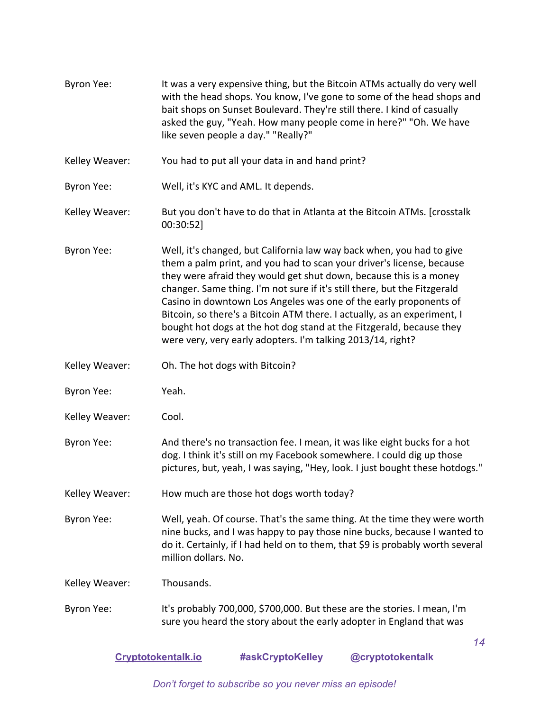| Byron Yee:        | It was a very expensive thing, but the Bitcoin ATMs actually do very well<br>with the head shops. You know, I've gone to some of the head shops and<br>bait shops on Sunset Boulevard. They're still there. I kind of casually<br>asked the guy, "Yeah. How many people come in here?" "Oh. We have<br>like seven people a day." "Really?"                                                                                                                                                                                                                                                |
|-------------------|-------------------------------------------------------------------------------------------------------------------------------------------------------------------------------------------------------------------------------------------------------------------------------------------------------------------------------------------------------------------------------------------------------------------------------------------------------------------------------------------------------------------------------------------------------------------------------------------|
| Kelley Weaver:    | You had to put all your data in and hand print?                                                                                                                                                                                                                                                                                                                                                                                                                                                                                                                                           |
| Byron Yee:        | Well, it's KYC and AML. It depends.                                                                                                                                                                                                                                                                                                                                                                                                                                                                                                                                                       |
| Kelley Weaver:    | But you don't have to do that in Atlanta at the Bitcoin ATMs. [crosstalk]<br>00:30:52]                                                                                                                                                                                                                                                                                                                                                                                                                                                                                                    |
| Byron Yee:        | Well, it's changed, but California law way back when, you had to give<br>them a palm print, and you had to scan your driver's license, because<br>they were afraid they would get shut down, because this is a money<br>changer. Same thing. I'm not sure if it's still there, but the Fitzgerald<br>Casino in downtown Los Angeles was one of the early proponents of<br>Bitcoin, so there's a Bitcoin ATM there. I actually, as an experiment, I<br>bought hot dogs at the hot dog stand at the Fitzgerald, because they<br>were very, very early adopters. I'm talking 2013/14, right? |
| Kelley Weaver:    | Oh. The hot dogs with Bitcoin?                                                                                                                                                                                                                                                                                                                                                                                                                                                                                                                                                            |
| Byron Yee:        | Yeah.                                                                                                                                                                                                                                                                                                                                                                                                                                                                                                                                                                                     |
| Kelley Weaver:    | Cool.                                                                                                                                                                                                                                                                                                                                                                                                                                                                                                                                                                                     |
| <b>Byron Yee:</b> | And there's no transaction fee. I mean, it was like eight bucks for a hot<br>dog. I think it's still on my Facebook somewhere. I could dig up those<br>pictures, but, yeah, I was saying, "Hey, look. I just bought these hotdogs."                                                                                                                                                                                                                                                                                                                                                       |
| Kelley Weaver:    | How much are those hot dogs worth today?                                                                                                                                                                                                                                                                                                                                                                                                                                                                                                                                                  |
| Byron Yee:        | Well, yeah. Of course. That's the same thing. At the time they were worth<br>nine bucks, and I was happy to pay those nine bucks, because I wanted to<br>do it. Certainly, if I had held on to them, that \$9 is probably worth several<br>million dollars. No.                                                                                                                                                                                                                                                                                                                           |
| Kelley Weaver:    | Thousands.                                                                                                                                                                                                                                                                                                                                                                                                                                                                                                                                                                                |
| Byron Yee:        | It's probably 700,000, \$700,000. But these are the stories. I mean, I'm<br>sure you heard the story about the early adopter in England that was                                                                                                                                                                                                                                                                                                                                                                                                                                          |
|                   | 14                                                                                                                                                                                                                                                                                                                                                                                                                                                                                                                                                                                        |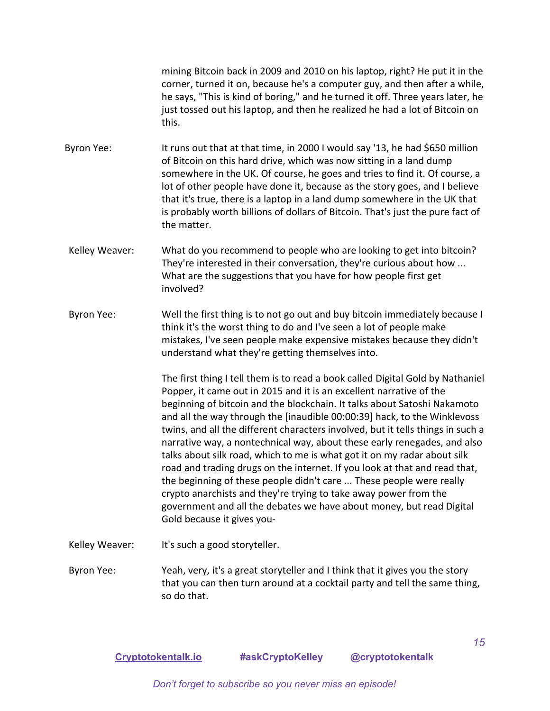mining Bitcoin back in 2009 and 2010 on his laptop, right? He put it in the corner, turned it on, because he's a computer guy, and then after a while, he says, "This is kind of boring," and he turned it off. Three years later, he just tossed out his laptop, and then he realized he had a lot of Bitcoin on this.

Byron Yee: It runs out that at that time, in 2000 I would say '13, he had \$650 million of Bitcoin on this hard drive, which was now sitting in a land dump somewhere in the UK. Of course, he goes and tries to find it. Of course, a lot of other people have done it, because as the story goes, and I believe that it's true, there is a laptop in a land dump somewhere in the UK that is probably worth billions of dollars of Bitcoin. That's just the pure fact of the matter.

- Kelley Weaver: What do you recommend to people who are looking to get into bitcoin? They're interested in their conversation, they're curious about how ... What are the suggestions that you have for how people first get involved?
- Byron Yee: Well the first thing is to not go out and buy bitcoin immediately because I think it's the worst thing to do and I've seen a lot of people make mistakes, I've seen people make expensive mistakes because they didn't understand what they're getting themselves into.

The first thing I tell them is to read a book called Digital Gold by Nathaniel Popper, it came out in 2015 and it is an excellent narrative of the beginning of bitcoin and the blockchain. It talks about Satoshi Nakamoto and all the way through the [inaudible 00:00:39] hack, to the Winklevoss twins, and all the different characters involved, but it tells things in such a narrative way, a nontechnical way, about these early renegades, and also talks about silk road, which to me is what got it on my radar about silk road and trading drugs on the internet. If you look at that and read that, the beginning of these people didn't care ... These people were really crypto anarchists and they're trying to take away power from the government and all the debates we have about money, but read Digital Gold because it gives you-

Kelley Weaver: It's such a good storyteller.

Byron Yee: Yeah, very, it's a great storyteller and I think that it gives you the story that you can then turn around at a cocktail party and tell the same thing, so do that.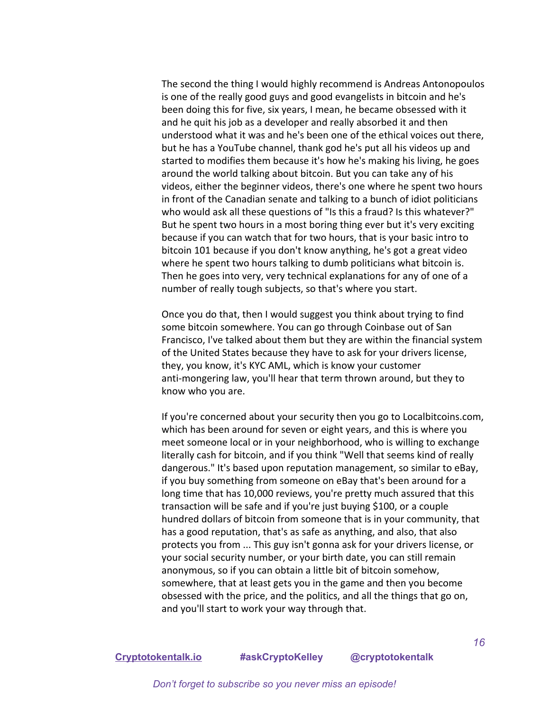The second the thing I would highly recommend is Andreas Antonopoulos is one of the really good guys and good evangelists in bitcoin and he's been doing this for five, six years, I mean, he became obsessed with it and he quit his job as a developer and really absorbed it and then understood what it was and he's been one of the ethical voices out there, but he has a YouTube channel, thank god he's put all his videos up and started to modifies them because it's how he's making his living, he goes around the world talking about bitcoin. But you can take any of his videos, either the beginner videos, there's one where he spent two hours in front of the Canadian senate and talking to a bunch of idiot politicians who would ask all these questions of "Is this a fraud? Is this whatever?" But he spent two hours in a most boring thing ever but it's very exciting because if you can watch that for two hours, that is your basic intro to bitcoin 101 because if you don't know anything, he's got a great video where he spent two hours talking to dumb politicians what bitcoin is. Then he goes into very, very technical explanations for any of one of a number of really tough subjects, so that's where you start.

Once you do that, then I would suggest you think about trying to find some bitcoin somewhere. You can go through Coinbase out of San Francisco, I've talked about them but they are within the financial system of the United States because they have to ask for your drivers license, they, you know, it's KYC AML, which is know your customer anti-mongering law, you'll hear that term thrown around, but they to know who you are.

If you're concerned about your security then you go to Localbitcoins.com, which has been around for seven or eight years, and this is where you meet someone local or in your neighborhood, who is willing to exchange literally cash for bitcoin, and if you think "Well that seems kind of really dangerous." It's based upon reputation management, so similar to eBay, if you buy something from someone on eBay that's been around for a long time that has 10,000 reviews, you're pretty much assured that this transaction will be safe and if you're just buying \$100, or a couple hundred dollars of bitcoin from someone that is in your community, that has a good reputation, that's as safe as anything, and also, that also protects you from ... This guy isn't gonna ask for your drivers license, or your social security number, or your birth date, you can still remain anonymous, so if you can obtain a little bit of bitcoin somehow, somewhere, that at least gets you in the game and then you become obsessed with the price, and the politics, and all the things that go on, and you'll start to work your way through that.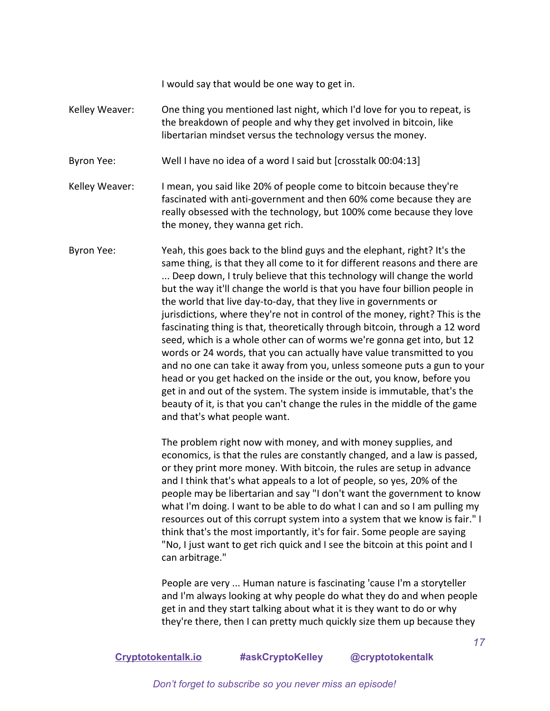I would say that would be one way to get in.

- Kelley Weaver: One thing you mentioned last night, which I'd love for you to repeat, is the breakdown of people and why they get involved in bitcoin, like libertarian mindset versus the technology versus the money.
- Byron Yee: Well I have no idea of a word I said but [crosstalk 00:04:13]
- Kelley Weaver: I mean, you said like 20% of people come to bitcoin because they're fascinated with anti-government and then 60% come because they are really obsessed with the technology, but 100% come because they love the money, they wanna get rich.
- Byron Yee: Yeah, this goes back to the blind guys and the elephant, right? It's the same thing, is that they all come to it for different reasons and there are ... Deep down, I truly believe that this technology will change the world but the way it'll change the world is that you have four billion people in the world that live day-to-day, that they live in governments or jurisdictions, where they're not in control of the money, right? This is the fascinating thing is that, theoretically through bitcoin, through a 12 word seed, which is a whole other can of worms we're gonna get into, but 12 words or 24 words, that you can actually have value transmitted to you and no one can take it away from you, unless someone puts a gun to your head or you get hacked on the inside or the out, you know, before you get in and out of the system. The system inside is immutable, that's the beauty of it, is that you can't change the rules in the middle of the game and that's what people want.

The problem right now with money, and with money supplies, and economics, is that the rules are constantly changed, and a law is passed, or they print more money. With bitcoin, the rules are setup in advance and I think that's what appeals to a lot of people, so yes, 20% of the people may be libertarian and say "I don't want the government to know what I'm doing. I want to be able to do what I can and so I am pulling my resources out of this corrupt system into a system that we know is fair." I think that's the most importantly, it's for fair. Some people are saying "No, I just want to get rich quick and I see the bitcoin at this point and I can arbitrage."

People are very ... Human nature is fascinating 'cause I'm a storyteller and I'm always looking at why people do what they do and when people get in and they start talking about what it is they want to do or why they're there, then I can pretty much quickly size them up because they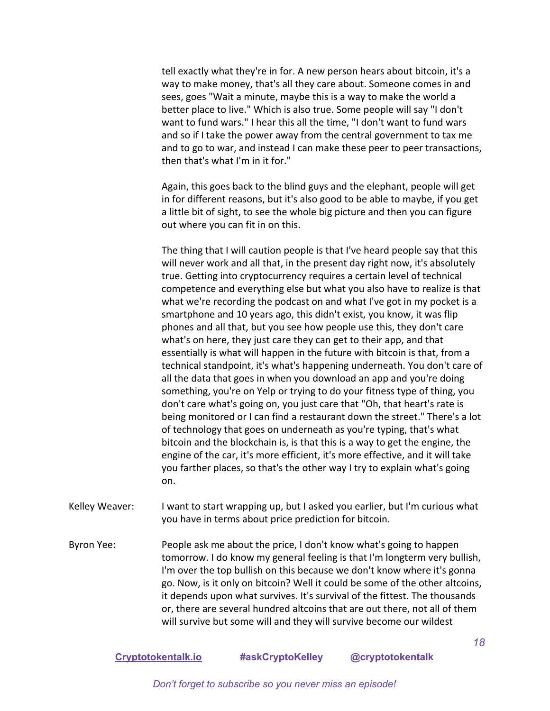tell exactly what they're in for. A new person hears about bitcoin, it's a way to make money, that's all they care about. Someone comes in and sees, goes "Wait a minute, maybe this is a way to make the world a better place to live." Which is also true. Some people will say "I don't want to fund wars." I hear this all the time, "I don't want to fund wars and so if I take the power away from the central government to tax me and to go to war, and instead I can make these peer to peer transactions, then that's what I'm in it for."

Again, this goes back to the blind guys and the elephant, people will get in for different reasons, but it's also good to be able to maybe, if you get a little bit of sight, to see the whole big picture and then you can figure out where you can fit in on this.

The thing that I will caution people is that I've heard people say that this will never work and all that, in the present day right now, it's absolutely true. Getting into cryptocurrency requires a certain level of technical competence and everything else but what you also have to realize is that what we're recording the podcast on and what I've got in my pocket is a smartphone and 10 years ago, this didn't exist, you know, it was flip phones and all that, but you see how people use this, they don't care what's on here, they just care they can get to their app, and that essentially is what will happen in the future with bitcoin is that, from a technical standpoint, it's what's happening underneath. You don't care of all the data that goes in when you download an app and you're doing something, you're on Yelp or trying to do your fitness type of thing, you don't care what's going on, you just care that "Oh, that heart's rate is being monitored or I can find a restaurant down the street." There's a lot of technology that goes on underneath as you're typing, that's what bitcoin and the blockchain is, is that this is a way to get the engine, the engine of the car, it's more efficient, it's more effective, and it will take you farther places, so that's the other way I try to explain what's going on.

- Kelley Weaver: I want to start wrapping up, but I asked you earlier, but I'm curious what you have in terms about price prediction for bitcoin.
- Byron Yee: People ask me about the price, I don't know what's going to happen tomorrow. I do know my general feeling is that I'm longterm very bullish, I'm over the top bullish on this because we don't know where it's gonna go. Now, is it only on bitcoin? Well it could be some of the other altcoins, it depends upon what survives. It's survival of the fittest. The thousands or, there are several hundred altcoins that are out there, not all of them will survive but some will and they will survive become our wildest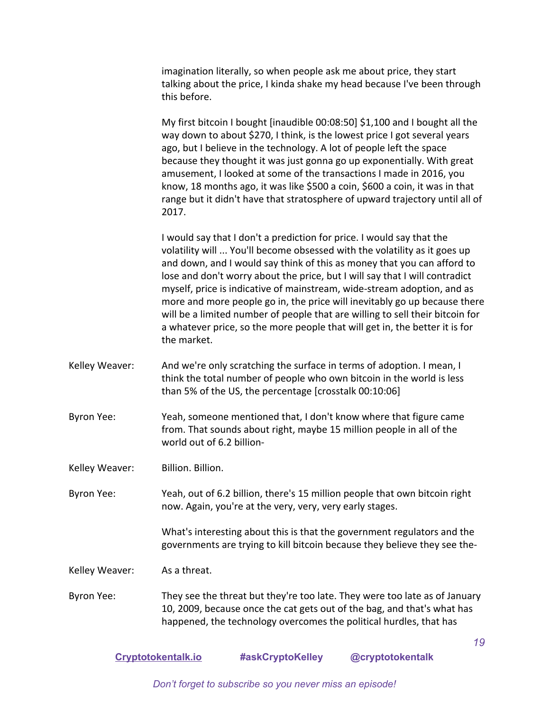imagination literally, so when people ask me about price, they start talking about the price, I kinda shake my head because I've been through this before.

My first bitcoin I bought [inaudible 00:08:50] \$1,100 and I bought all the way down to about \$270, I think, is the lowest price I got several years ago, but I believe in the technology. A lot of people left the space because they thought it was just gonna go up exponentially. With great amusement, I looked at some of the transactions I made in 2016, you know, 18 months ago, it was like \$500 a coin, \$600 a coin, it was in that range but it didn't have that stratosphere of upward trajectory until all of 2017.

I would say that I don't a prediction for price. I would say that the volatility will ... You'll become obsessed with the volatility as it goes up and down, and I would say think of this as money that you can afford to lose and don't worry about the price, but I will say that I will contradict myself, price is indicative of mainstream, wide-stream adoption, and as more and more people go in, the price will inevitably go up because there will be a limited number of people that are willing to sell their bitcoin for a whatever price, so the more people that will get in, the better it is for the market.

- Kelley Weaver: And we're only scratching the surface in terms of adoption. I mean, I think the total number of people who own bitcoin in the world is less than 5% of the US, the percentage [crosstalk 00:10:06]
- Byron Yee: Yeah, someone mentioned that, I don't know where that figure came from. That sounds about right, maybe 15 million people in all of the world out of 6.2 billion-

Kelley Weaver: Billion. Billion.

Byron Yee: Yeah, out of 6.2 billion, there's 15 million people that own bitcoin right now. Again, you're at the very, very, very early stages.

> What's interesting about this is that the government regulators and the governments are trying to kill bitcoin because they believe they see the-

Kelley Weaver: As a threat.

Byron Yee: They see the threat but they're too late. They were too late as of January 10, 2009, because once the cat gets out of the bag, and that's what has happened, the technology overcomes the political hurdles, that has

**[Cryptotokentalk.io](https://cryptotokentalk.io/) #askCryptoKelley @cryptotokentalk**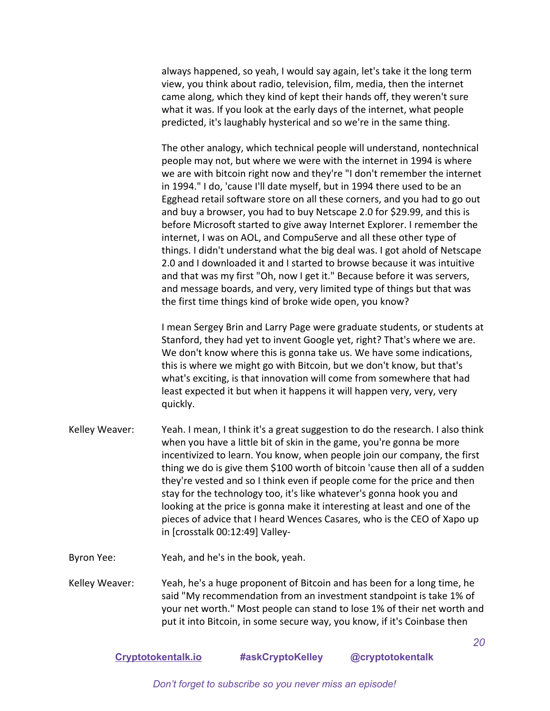always happened, so yeah, I would say again, let's take it the long term view, you think about radio, television, film, media, then the internet came along, which they kind of kept their hands off, they weren't sure what it was. If you look at the early days of the internet, what people predicted, it's laughably hysterical and so we're in the same thing.

The other analogy, which technical people will understand, nontechnical people may not, but where we were with the internet in 1994 is where we are with bitcoin right now and they're "I don't remember the internet in 1994." I do, 'cause I'll date myself, but in 1994 there used to be an Egghead retail software store on all these corners, and you had to go out and buy a browser, you had to buy Netscape 2.0 for \$29.99, and this is before Microsoft started to give away Internet Explorer. I remember the internet, I was on AOL, and CompuServe and all these other type of things. I didn't understand what the big deal was. I got ahold of Netscape 2.0 and I downloaded it and I started to browse because it was intuitive and that was my first "Oh, now I get it." Because before it was servers, and message boards, and very, very limited type of things but that was the first time things kind of broke wide open, you know?

I mean Sergey Brin and Larry Page were graduate students, or students at Stanford, they had yet to invent Google yet, right? That's where we are. We don't know where this is gonna take us. We have some indications, this is where we might go with Bitcoin, but we don't know, but that's what's exciting, is that innovation will come from somewhere that had least expected it but when it happens it will happen very, very, very quickly.

- Kelley Weaver: Yeah. I mean, I think it's a great suggestion to do the research. I also think when you have a little bit of skin in the game, you're gonna be more incentivized to learn. You know, when people join our company, the first thing we do is give them \$100 worth of bitcoin 'cause then all of a sudden they're vested and so I think even if people come for the price and then stay for the technology too, it's like whatever's gonna hook you and looking at the price is gonna make it interesting at least and one of the pieces of advice that I heard Wences Casares, who is the CEO of Xapo up in [crosstalk 00:12:49] Valley-
- Byron Yee: Yeah, and he's in the book, yeah.

Kelley Weaver: Yeah, he's a huge proponent of Bitcoin and has been for a long time, he said "My recommendation from an investment standpoint is take 1% of your net worth." Most people can stand to lose 1% of their net worth and put it into Bitcoin, in some secure way, you know, if it's Coinbase then

**[Cryptotokentalk.io](https://cryptotokentalk.io/) #askCryptoKelley @cryptotokentalk**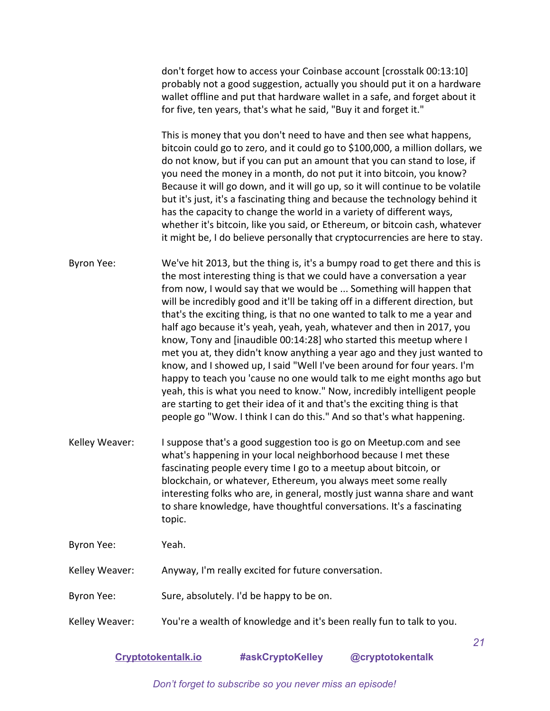don't forget how to access your Coinbase account [crosstalk 00:13:10] probably not a good suggestion, actually you should put it on a hardware wallet offline and put that hardware wallet in a safe, and forget about it for five, ten years, that's what he said, "Buy it and forget it."

This is money that you don't need to have and then see what happens, bitcoin could go to zero, and it could go to \$100,000, a million dollars, we do not know, but if you can put an amount that you can stand to lose, if you need the money in a month, do not put it into bitcoin, you know? Because it will go down, and it will go up, so it will continue to be volatile but it's just, it's a fascinating thing and because the technology behind it has the capacity to change the world in a variety of different ways, whether it's bitcoin, like you said, or Ethereum, or bitcoin cash, whatever it might be, I do believe personally that cryptocurrencies are here to stay.

Byron Yee: We've hit 2013, but the thing is, it's a bumpy road to get there and this is the most interesting thing is that we could have a conversation a year from now, I would say that we would be ... Something will happen that will be incredibly good and it'll be taking off in a different direction, but that's the exciting thing, is that no one wanted to talk to me a year and half ago because it's yeah, yeah, yeah, whatever and then in 2017, you know, Tony and [inaudible 00:14:28] who started this meetup where I met you at, they didn't know anything a year ago and they just wanted to know, and I showed up, I said "Well I've been around for four years. I'm happy to teach you 'cause no one would talk to me eight months ago but yeah, this is what you need to know." Now, incredibly intelligent people are starting to get their idea of it and that's the exciting thing is that people go "Wow. I think I can do this." And so that's what happening.

Kelley Weaver: I suppose that's a good suggestion too is go on Meetup.com and see what's happening in your local neighborhood because I met these fascinating people every time I go to a meetup about bitcoin, or blockchain, or whatever, Ethereum, you always meet some really interesting folks who are, in general, mostly just wanna share and want to share knowledge, have thoughtful conversations. It's a fascinating topic.

Byron Yee: Yeah.

Kelley Weaver: Anyway, I'm really excited for future conversation.

- Byron Yee: Sure, absolutely. I'd be happy to be on.
- Kelley Weaver: You're a wealth of knowledge and it's been really fun to talk to you.

**[Cryptotokentalk.io](https://cryptotokentalk.io/) #askCryptoKelley @cryptotokentalk**

*21*

*Don't forget to subscribe so you never miss an episode!*